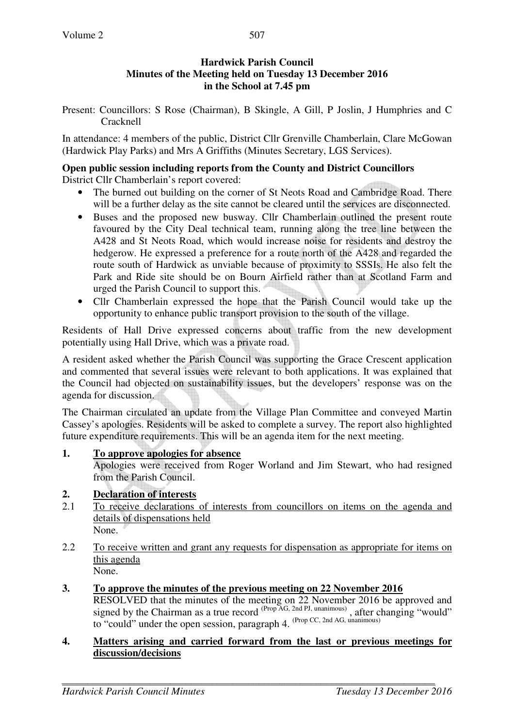### **Hardwick Parish Council Minutes of the Meeting held on Tuesday 13 December 2016 in the School at 7.45 pm**

Present: Councillors: S Rose (Chairman), B Skingle, A Gill, P Joslin, J Humphries and C Cracknell

In attendance: 4 members of the public, District Cllr Grenville Chamberlain, Clare McGowan (Hardwick Play Parks) and Mrs A Griffiths (Minutes Secretary, LGS Services).

#### **Open public session including reports from the County and District Councillors**  District Cllr Chamberlain's report covered:

- The burned out building on the corner of St Neots Road and Cambridge Road. There will be a further delay as the site cannot be cleared until the services are disconnected.
- Buses and the proposed new busway. Cllr Chamberlain outlined the present route favoured by the City Deal technical team, running along the tree line between the A428 and St Neots Road, which would increase noise for residents and destroy the hedgerow. He expressed a preference for a route north of the A428 and regarded the route south of Hardwick as unviable because of proximity to SSSIs. He also felt the Park and Ride site should be on Bourn Airfield rather than at Scotland Farm and urged the Parish Council to support this.
- Cllr Chamberlain expressed the hope that the Parish Council would take up the opportunity to enhance public transport provision to the south of the village.

Residents of Hall Drive expressed concerns about traffic from the new development potentially using Hall Drive, which was a private road.

A resident asked whether the Parish Council was supporting the Grace Crescent application and commented that several issues were relevant to both applications. It was explained that the Council had objected on sustainability issues, but the developers' response was on the agenda for discussion.

The Chairman circulated an update from the Village Plan Committee and conveyed Martin Cassey's apologies. Residents will be asked to complete a survey. The report also highlighted future expenditure requirements. This will be an agenda item for the next meeting.

#### **1. To approve apologies for absence**

Apologies were received from Roger Worland and Jim Stewart, who had resigned from the Parish Council.

### **2. Declaration of interests**

- 2.1 To receive declarations of interests from councillors on items on the agenda and details of dispensations held None.
- 2.2 To receive written and grant any requests for dispensation as appropriate for items on this agenda None.

### **3. To approve the minutes of the previous meeting on 22 November 2016**

RESOLVED that the minutes of the meeting on 22 November 2016 be approved and signed by the Chairman as a true record  $^{(Prop\overline{AG}, 2nd\,PI, unanimous)}$ , after changing "would" to "could" under the open session, paragraph 4. (Prop CC, 2nd AG, unanimous)

#### **4. Matters arising and carried forward from the last or previous meetings for discussion/decisions**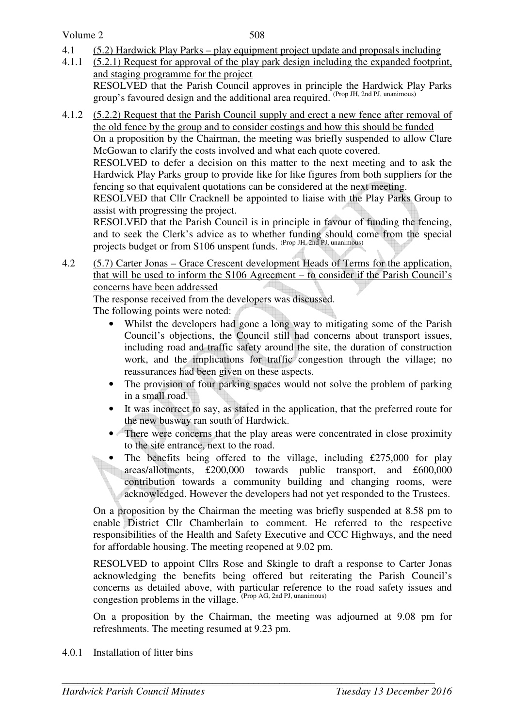- 4.1 (5.2) Hardwick Play Parks play equipment project update and proposals including
- 4.1.1 (5.2.1) Request for approval of the play park design including the expanded footprint, and staging programme for the project RESOLVED that the Parish Council approves in principle the Hardwick Play Parks group's favoured design and the additional area required. (Prop JH, 2nd PJ, unanimous)
- 4.1.2 (5.2.2) Request that the Parish Council supply and erect a new fence after removal of the old fence by the group and to consider costings and how this should be funded

 On a proposition by the Chairman, the meeting was briefly suspended to allow Clare McGowan to clarify the costs involved and what each quote covered.

 RESOLVED to defer a decision on this matter to the next meeting and to ask the Hardwick Play Parks group to provide like for like figures from both suppliers for the fencing so that equivalent quotations can be considered at the next meeting.

 RESOLVED that Cllr Cracknell be appointed to liaise with the Play Parks Group to assist with progressing the project.

 RESOLVED that the Parish Council is in principle in favour of funding the fencing, and to seek the Clerk's advice as to whether funding should come from the special projects budget or from S106 unspent funds. (Prop JH, 2nd PJ, unanimous)

4.2 (5.7) Carter Jonas – Grace Crescent development Heads of Terms for the application, that will be used to inform the S106 Agreement – to consider if the Parish Council's concerns have been addressed

The response received from the developers was discussed.

The following points were noted:

- Whilst the developers had gone a long way to mitigating some of the Parish Council's objections, the Council still had concerns about transport issues, including road and traffic safety around the site, the duration of construction work, and the implications for traffic congestion through the village; no reassurances had been given on these aspects.
- The provision of four parking spaces would not solve the problem of parking in a small road.
- It was incorrect to say, as stated in the application, that the preferred route for the new busway ran south of Hardwick.
- There were concerns that the play areas were concentrated in close proximity to the site entrance, next to the road.
- The benefits being offered to the village, including  $£275,000$  for play areas/allotments, £200,000 towards public transport, and £600,000 contribution towards a community building and changing rooms, were acknowledged. However the developers had not yet responded to the Trustees.

On a proposition by the Chairman the meeting was briefly suspended at 8.58 pm to enable District Cllr Chamberlain to comment. He referred to the respective responsibilities of the Health and Safety Executive and CCC Highways, and the need for affordable housing. The meeting reopened at 9.02 pm.

RESOLVED to appoint Cllrs Rose and Skingle to draft a response to Carter Jonas acknowledging the benefits being offered but reiterating the Parish Council's concerns as detailed above, with particular reference to the road safety issues and congestion problems in the village.  $P_{\text{top AG, 2nd PJ, unanimous}}$ 

On a proposition by the Chairman, the meeting was adjourned at 9.08 pm for refreshments. The meeting resumed at 9.23 pm.

4.0.1 Installation of litter bins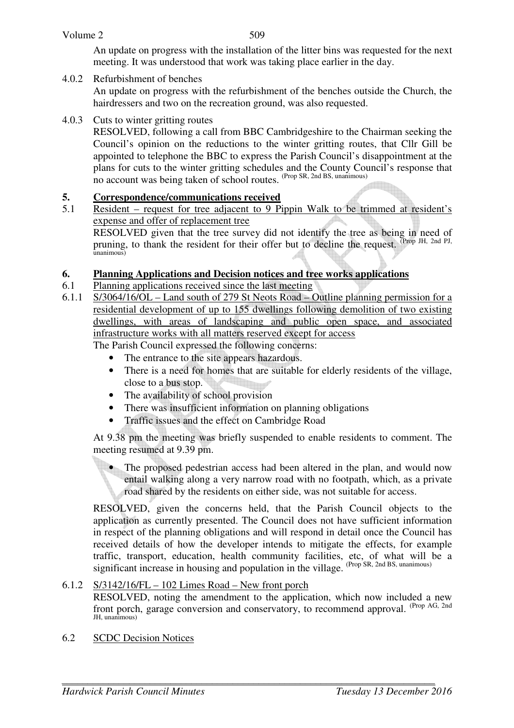#### Volume 2

509

An update on progress with the installation of the litter bins was requested for the next meeting. It was understood that work was taking place earlier in the day.

### 4.0.2 Refurbishment of benches

An update on progress with the refurbishment of the benches outside the Church, the hairdressers and two on the recreation ground, was also requested.

#### 4.0.3 Cuts to winter gritting routes

RESOLVED, following a call from BBC Cambridgeshire to the Chairman seeking the Council's opinion on the reductions to the winter gritting routes, that Cllr Gill be appointed to telephone the BBC to express the Parish Council's disappointment at the plans for cuts to the winter gritting schedules and the County Council's response that no account was being taken of school routes. (Prop SR, 2nd BS, unanimous)

#### **5. Correspondence/communications received**

5.1 Resident – request for tree adjacent to 9 Pippin Walk to be trimmed at resident's expense and offer of replacement tree

RESOLVED given that the tree survey did not identify the tree as being in need of pruning, to thank the resident for their offer but to decline the request. (Prop JH, 2nd PJ, unanimous)

### **6. Planning Applications and Decision notices and tree works applications**

- 6.1 Planning applications received since the last meeting
- 6.1.1 S/3064/16/OL Land south of 279 St Neots Road Outline planning permission for a residential development of up to 155 dwellings following demolition of two existing dwellings, with areas of landscaping and public open space, and associated infrastructure works with all matters reserved except for access

# The Parish Council expressed the following concerns:

- The entrance to the site appears hazardous.
- There is a need for homes that are suitable for elderly residents of the village, close to a bus stop.
- The availability of school provision
- There was insufficient information on planning obligations
- Traffic issues and the effect on Cambridge Road

At 9.38 pm the meeting was briefly suspended to enable residents to comment. The meeting resumed at 9.39 pm.

• The proposed pedestrian access had been altered in the plan, and would now entail walking along a very narrow road with no footpath, which, as a private road shared by the residents on either side, was not suitable for access.

RESOLVED, given the concerns held, that the Parish Council objects to the application as currently presented. The Council does not have sufficient information in respect of the planning obligations and will respond in detail once the Council has received details of how the developer intends to mitigate the effects, for example traffic, transport, education, health community facilities, etc, of what will be a significant increase in housing and population in the village. (Prop SR, 2nd BS, unanimous)

#### 6.1.2 S/3142/16/FL – 102 Limes Road – New front porch

RESOLVED, noting the amendment to the application, which now included a new front porch, garage conversion and conservatory, to recommend approval. (Prop AG, 2nd  $H$ ,  $\lim_{n \to \infty}$ 

6.2 SCDC Decision Notices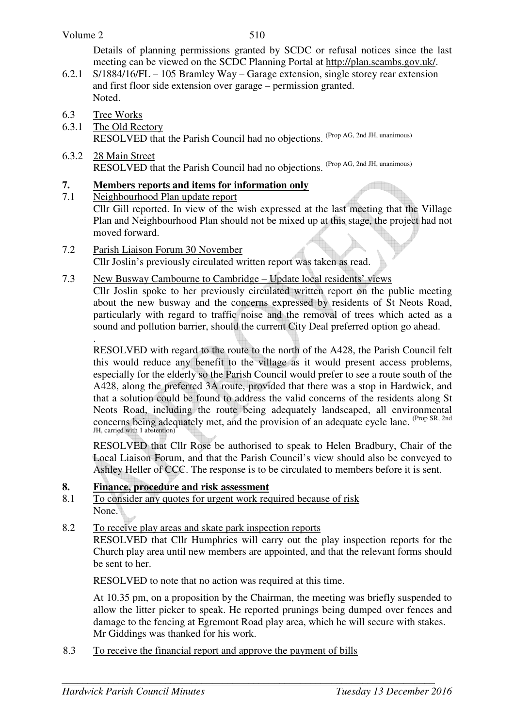#### Volume 2

Details of planning permissions granted by SCDC or refusal notices since the last meeting can be viewed on the SCDC Planning Portal at http://plan.scambs.gov.uk/.

- 6.2.1 S/1884/16/FL 105 Bramley Way Garage extension, single storey rear extension and first floor side extension over garage – permission granted. Noted.
- 6.3 Tree Works
- 6.3.1 The Old Rectory RESOLVED that the Parish Council had no objections. (Prop AG, 2nd JH, unanimous)
- 6.3.2 28 Main Street RESOLVED that the Parish Council had no objections. <sup>(Prop AG, 2nd JH, unanimous)</sup>

### **7. Members reports and items for information only**

7.1 Neighbourhood Plan update report

Cllr Gill reported. In view of the wish expressed at the last meeting that the Village Plan and Neighbourhood Plan should not be mixed up at this stage, the project had not moved forward.

- 7.2 Parish Liaison Forum 30 November Cllr Joslin's previously circulated written report was taken as read.
- 7.3 New Busway Cambourne to Cambridge Update local residents' views

Cllr Joslin spoke to her previously circulated written report on the public meeting about the new busway and the concerns expressed by residents of St Neots Road, particularly with regard to traffic noise and the removal of trees which acted as a sound and pollution barrier, should the current City Deal preferred option go ahead.

 . RESOLVED with regard to the route to the north of the A428, the Parish Council felt this would reduce any benefit to the village as it would present access problems, especially for the elderly so the Parish Council would prefer to see a route south of the A428, along the preferred 3A route, provided that there was a stop in Hardwick, and that a solution could be found to address the valid concerns of the residents along St Neots Road, including the route being adequately landscaped, all environmental concerns being adequately met, and the provision of an adequate cycle lane. <sup>(Prop SR, 2nd</sup>) JH, carried with 1 abstention)

RESOLVED that Cllr Rose be authorised to speak to Helen Bradbury, Chair of the Local Liaison Forum, and that the Parish Council's view should also be conveyed to Ashley Heller of CCC. The response is to be circulated to members before it is sent.

### **8. Finance, procedure and risk assessment**

8.1 To consider any quotes for urgent work required because of risk None.

# 8.2 To receive play areas and skate park inspection reports

 RESOLVED that Cllr Humphries will carry out the play inspection reports for the Church play area until new members are appointed, and that the relevant forms should be sent to her.

RESOLVED to note that no action was required at this time.

At 10.35 pm, on a proposition by the Chairman, the meeting was briefly suspended to allow the litter picker to speak. He reported prunings being dumped over fences and damage to the fencing at Egremont Road play area, which he will secure with stakes. Mr Giddings was thanked for his work.

8.3 To receive the financial report and approve the payment of bills